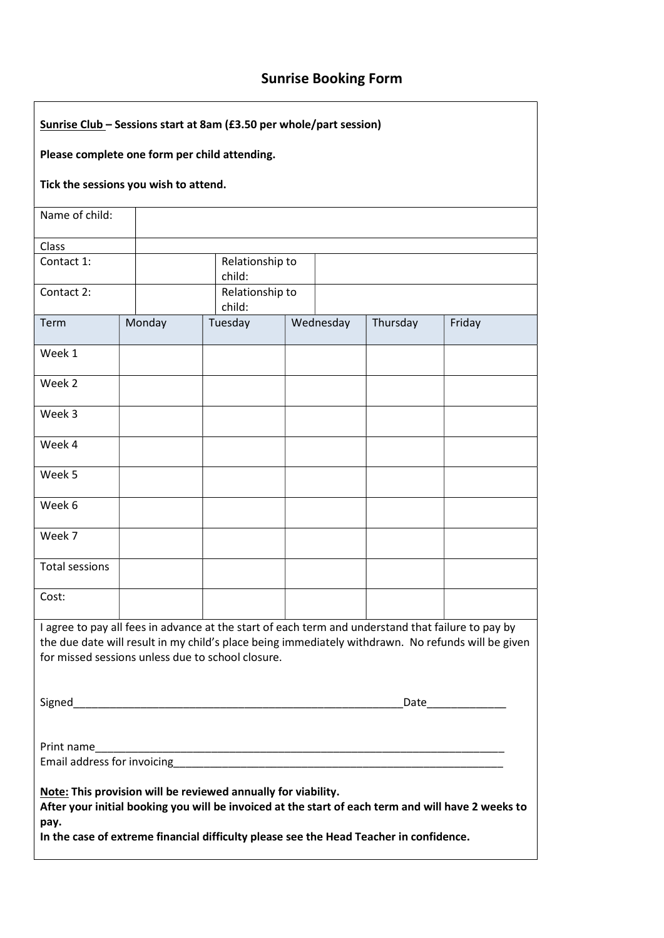## Sunrise Booking Form

| Sunrise Club - Sessions start at 8am (£3.50 per whole/part session)                                                                                                                                                                                                   |        |                  |                        |           |          |        |  |  |  |  |  |
|-----------------------------------------------------------------------------------------------------------------------------------------------------------------------------------------------------------------------------------------------------------------------|--------|------------------|------------------------|-----------|----------|--------|--|--|--|--|--|
| Please complete one form per child attending.                                                                                                                                                                                                                         |        |                  |                        |           |          |        |  |  |  |  |  |
| Tick the sessions you wish to attend.                                                                                                                                                                                                                                 |        |                  |                        |           |          |        |  |  |  |  |  |
| Name of child:                                                                                                                                                                                                                                                        |        |                  |                        |           |          |        |  |  |  |  |  |
| Class<br>Contact 1:                                                                                                                                                                                                                                                   |        |                  | Relationship to        |           |          |        |  |  |  |  |  |
| Contact 2:                                                                                                                                                                                                                                                            |        | child:<br>child: | Relationship to        |           |          |        |  |  |  |  |  |
| Term                                                                                                                                                                                                                                                                  | Monday | Tuesday          |                        | Wednesday | Thursday | Friday |  |  |  |  |  |
| Week 1                                                                                                                                                                                                                                                                |        |                  |                        |           |          |        |  |  |  |  |  |
| Week 2                                                                                                                                                                                                                                                                |        |                  |                        |           |          |        |  |  |  |  |  |
| Week 3                                                                                                                                                                                                                                                                |        |                  |                        |           |          |        |  |  |  |  |  |
| Week 4                                                                                                                                                                                                                                                                |        |                  |                        |           |          |        |  |  |  |  |  |
| Week 5                                                                                                                                                                                                                                                                |        |                  |                        |           |          |        |  |  |  |  |  |
| Week 6                                                                                                                                                                                                                                                                |        |                  |                        |           |          |        |  |  |  |  |  |
| Week 7                                                                                                                                                                                                                                                                |        |                  |                        |           |          |        |  |  |  |  |  |
| <b>Total sessions</b>                                                                                                                                                                                                                                                 |        |                  |                        |           |          |        |  |  |  |  |  |
| Cost:                                                                                                                                                                                                                                                                 |        |                  |                        |           |          |        |  |  |  |  |  |
| I agree to pay all fees in advance at the start of each term and understand that failure to pay by<br>the due date will result in my child's place being immediately withdrawn. No refunds will be given<br>for missed sessions unless due to school closure.         |        |                  |                        |           |          |        |  |  |  |  |  |
|                                                                                                                                                                                                                                                                       |        |                  | _Date_________________ |           |          |        |  |  |  |  |  |
| Print name                                                                                                                                                                                                                                                            |        |                  |                        |           |          |        |  |  |  |  |  |
|                                                                                                                                                                                                                                                                       |        |                  |                        |           |          |        |  |  |  |  |  |
| Note: This provision will be reviewed annually for viability.<br>After your initial booking you will be invoiced at the start of each term and will have 2 weeks to<br>pay.<br>In the case of extreme financial difficulty please see the Head Teacher in confidence. |        |                  |                        |           |          |        |  |  |  |  |  |